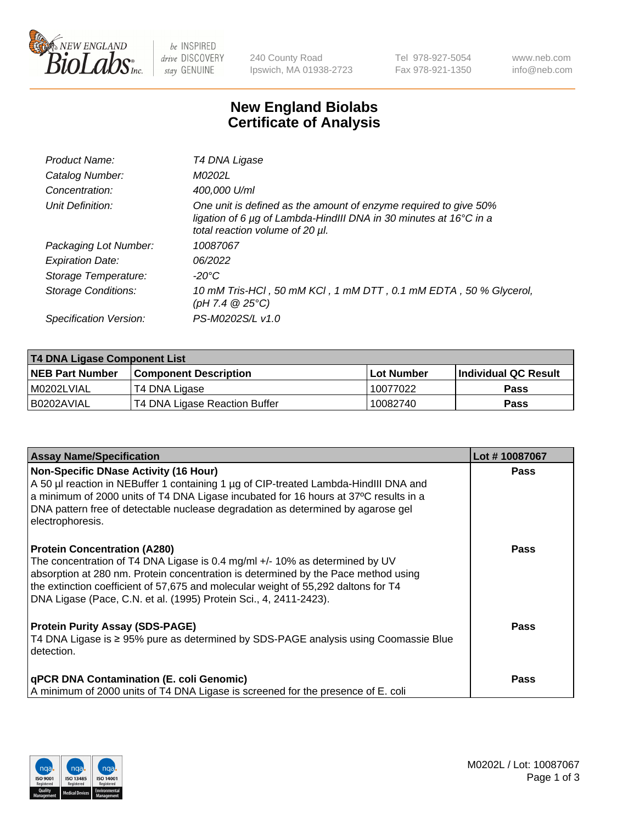

 $be$  INSPIRED drive DISCOVERY stay GENUINE

240 County Road Ipswich, MA 01938-2723 Tel 978-927-5054 Fax 978-921-1350 www.neb.com info@neb.com

## **New England Biolabs Certificate of Analysis**

| T4 DNA Ligase                                                                                                                                                                           |
|-----------------------------------------------------------------------------------------------------------------------------------------------------------------------------------------|
| M0202L                                                                                                                                                                                  |
| 400,000 U/ml                                                                                                                                                                            |
| One unit is defined as the amount of enzyme required to give 50%<br>ligation of 6 $\mu$ g of Lambda-HindIII DNA in 30 minutes at 16 $\degree$ C in a<br>total reaction volume of 20 µl. |
| 10087067                                                                                                                                                                                |
| 06/2022                                                                                                                                                                                 |
| $-20^{\circ}$ C                                                                                                                                                                         |
| 10 mM Tris-HCl, 50 mM KCl, 1 mM DTT, 0.1 mM EDTA, 50 % Glycerol,<br>(pH 7.4 $@25°C$ )                                                                                                   |
| PS-M0202S/L v1.0                                                                                                                                                                        |
|                                                                                                                                                                                         |

| T4 DNA Ligase Component List |                               |              |                             |  |  |
|------------------------------|-------------------------------|--------------|-----------------------------|--|--|
| <b>NEB Part Number</b>       | <b>Component Description</b>  | l Lot Number | <b>Individual QC Result</b> |  |  |
| M0202LVIAL                   | T4 DNA Ligase                 | 10077022     | <b>Pass</b>                 |  |  |
| I B0202AVIAL                 | T4 DNA Ligase Reaction Buffer | 10082740     | <b>Pass</b>                 |  |  |

| <b>Assay Name/Specification</b>                                                                                                                                                                                                                                                                                                                                     | Lot #10087067 |
|---------------------------------------------------------------------------------------------------------------------------------------------------------------------------------------------------------------------------------------------------------------------------------------------------------------------------------------------------------------------|---------------|
| <b>Non-Specific DNase Activity (16 Hour)</b><br>A 50 µl reaction in NEBuffer 1 containing 1 µg of CIP-treated Lambda-HindIII DNA and<br>$\vert$ a minimum of 2000 units of T4 DNA Ligase incubated for 16 hours at 37°C results in a<br>DNA pattern free of detectable nuclease degradation as determined by agarose gel<br>electrophoresis.                        | <b>Pass</b>   |
| <b>Protein Concentration (A280)</b><br>The concentration of T4 DNA Ligase is 0.4 mg/ml +/- 10% as determined by UV<br>absorption at 280 nm. Protein concentration is determined by the Pace method using<br>the extinction coefficient of 57,675 and molecular weight of 55,292 daltons for T4<br>DNA Ligase (Pace, C.N. et al. (1995) Protein Sci., 4, 2411-2423). | Pass          |
| <b>Protein Purity Assay (SDS-PAGE)</b><br>T4 DNA Ligase is ≥ 95% pure as determined by SDS-PAGE analysis using Coomassie Blue<br>detection.                                                                                                                                                                                                                         | Pass          |
| <b>qPCR DNA Contamination (E. coli Genomic)</b><br>A minimum of 2000 units of T4 DNA Ligase is screened for the presence of E. coli                                                                                                                                                                                                                                 | <b>Pass</b>   |

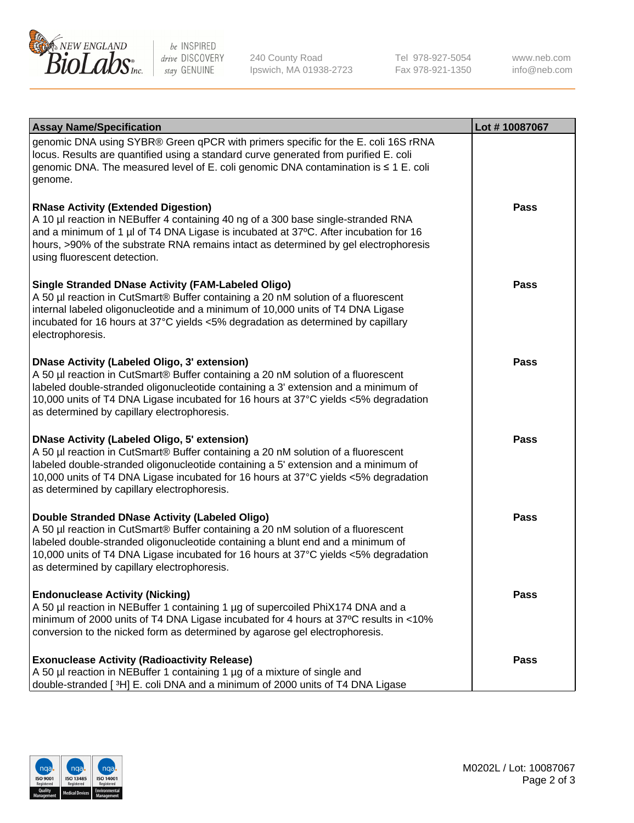

be INSPIRED drive DISCOVERY stay GENUINE

240 County Road Ipswich, MA 01938-2723 Tel 978-927-5054 Fax 978-921-1350 www.neb.com info@neb.com

| <b>Assay Name/Specification</b>                                                                                                                                                                                                                                                                                                                                      | Lot #10087067 |
|----------------------------------------------------------------------------------------------------------------------------------------------------------------------------------------------------------------------------------------------------------------------------------------------------------------------------------------------------------------------|---------------|
| genomic DNA using SYBR® Green qPCR with primers specific for the E. coli 16S rRNA<br>locus. Results are quantified using a standard curve generated from purified E. coli<br>genomic DNA. The measured level of E. coli genomic DNA contamination is ≤ 1 E. coli<br>genome.                                                                                          |               |
| <b>RNase Activity (Extended Digestion)</b><br>A 10 µl reaction in NEBuffer 4 containing 40 ng of a 300 base single-stranded RNA<br>and a minimum of 1 µl of T4 DNA Ligase is incubated at 37°C. After incubation for 16<br>hours, >90% of the substrate RNA remains intact as determined by gel electrophoresis<br>using fluorescent detection.                      | <b>Pass</b>   |
| <b>Single Stranded DNase Activity (FAM-Labeled Oligo)</b><br>A 50 µl reaction in CutSmart® Buffer containing a 20 nM solution of a fluorescent<br>internal labeled oligonucleotide and a minimum of 10,000 units of T4 DNA Ligase<br>incubated for 16 hours at 37°C yields <5% degradation as determined by capillary<br>electrophoresis.                            | <b>Pass</b>   |
| <b>DNase Activity (Labeled Oligo, 3' extension)</b><br>A 50 µl reaction in CutSmart® Buffer containing a 20 nM solution of a fluorescent<br>labeled double-stranded oligonucleotide containing a 3' extension and a minimum of<br>10,000 units of T4 DNA Ligase incubated for 16 hours at 37°C yields <5% degradation<br>as determined by capillary electrophoresis. | <b>Pass</b>   |
| <b>DNase Activity (Labeled Oligo, 5' extension)</b><br>A 50 µl reaction in CutSmart® Buffer containing a 20 nM solution of a fluorescent<br>labeled double-stranded oligonucleotide containing a 5' extension and a minimum of<br>10,000 units of T4 DNA Ligase incubated for 16 hours at 37°C yields <5% degradation<br>as determined by capillary electrophoresis. | <b>Pass</b>   |
| Double Stranded DNase Activity (Labeled Oligo)<br>A 50 µl reaction in CutSmart® Buffer containing a 20 nM solution of a fluorescent<br>labeled double-stranded oligonucleotide containing a blunt end and a minimum of<br>10,000 units of T4 DNA Ligase incubated for 16 hours at 37°C yields <5% degradation<br>as determined by capillary electrophoresis.         | Pass          |
| <b>Endonuclease Activity (Nicking)</b><br>A 50 µl reaction in NEBuffer 1 containing 1 µg of supercoiled PhiX174 DNA and a<br>minimum of 2000 units of T4 DNA Ligase incubated for 4 hours at 37°C results in <10%<br>conversion to the nicked form as determined by agarose gel electrophoresis.                                                                     | <b>Pass</b>   |
| <b>Exonuclease Activity (Radioactivity Release)</b><br>A 50 µl reaction in NEBuffer 1 containing 1 µg of a mixture of single and<br>double-stranded [3H] E. coli DNA and a minimum of 2000 units of T4 DNA Ligase                                                                                                                                                    | <b>Pass</b>   |